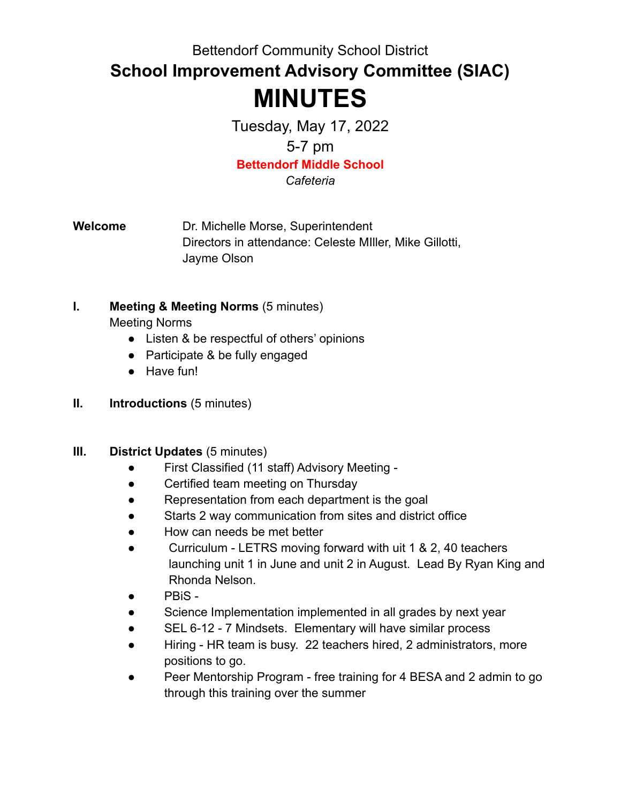Bettendorf Community School District

**School Improvement Advisory Committee (SIAC)**

# **MINUTES**

Tuesday, May 17, 2022 5-7 pm **Bettendorf Middle School**

*Cafeteria*

**Welcome** Dr. Michelle Morse, Superintendent Directors in attendance: Celeste MIller, Mike Gillotti, Jayme Olson

- **I. Meeting & Meeting Norms** (5 minutes) Meeting Norms
	- Listen & be respectful of others' opinions
	- Participate & be fully engaged
	- Have fun!
- **II. Introductions** (5 minutes)

### **III. District Updates** (5 minutes)

- First Classified (11 staff) Advisory Meeting -
- Certified team meeting on Thursday
- Representation from each department is the goal
- Starts 2 way communication from sites and district office
- How can needs be met better
- Curriculum LETRS moving forward with uit 1 & 2, 40 teachers launching unit 1 in June and unit 2 in August. Lead By Ryan King and Rhonda Nelson.
- PBiS -
- Science Implementation implemented in all grades by next year
- SEL 6-12 7 Mindsets. Elementary will have similar process
- Hiring HR team is busy. 22 teachers hired, 2 administrators, more positions to go.
- Peer Mentorship Program free training for 4 BESA and 2 admin to go through this training over the summer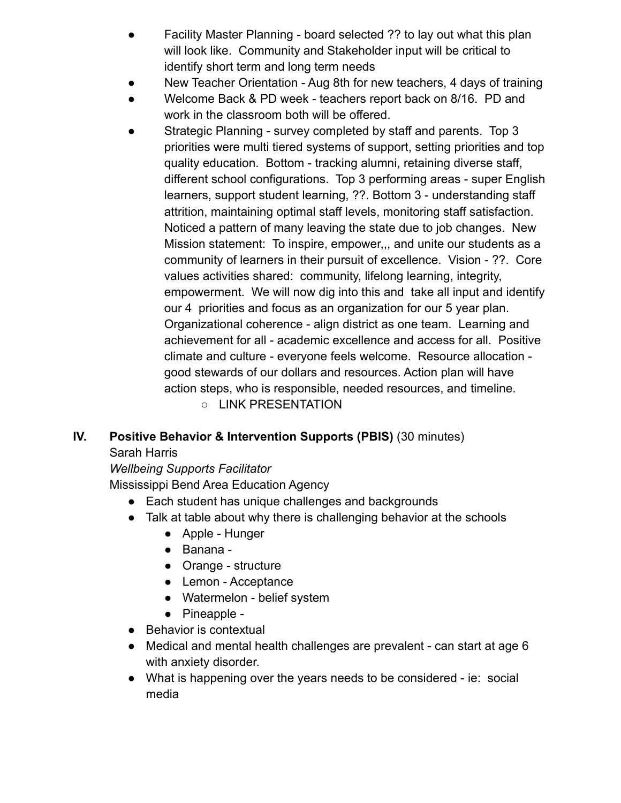- Facility Master Planning board selected ?? to lay out what this plan will look like. Community and Stakeholder input will be critical to identify short term and long term needs
- New Teacher Orientation Aug 8th for new teachers, 4 days of training
- Welcome Back & PD week teachers report back on 8/16. PD and work in the classroom both will be offered.
- Strategic Planning survey completed by staff and parents. Top 3 priorities were multi tiered systems of support, setting priorities and top quality education. Bottom - tracking alumni, retaining diverse staff, different school configurations. Top 3 performing areas - super English learners, support student learning, ??. Bottom 3 - understanding staff attrition, maintaining optimal staff levels, monitoring staff satisfaction. Noticed a pattern of many leaving the state due to job changes. New Mission statement: To inspire, empower,,, and unite our students as a community of learners in their pursuit of excellence. Vision - ??. Core values activities shared: community, lifelong learning, integrity, empowerment. We will now dig into this and take all input and identify our 4 priorities and focus as an organization for our 5 year plan. Organizational coherence - align district as one team. Learning and achievement for all - academic excellence and access for all. Positive climate and culture - everyone feels welcome. Resource allocation good stewards of our dollars and resources. Action plan will have action steps, who is responsible, needed resources, and timeline. ○ LINK PRESENTATION
- **IV. Positive Behavior & Intervention Supports (PBIS)** (30 minutes)

# Sarah Harris

# *Wellbeing Supports Facilitator*

Mississippi Bend Area Education Agency

- Each student has unique challenges and backgrounds
- Talk at table about why there is challenging behavior at the schools
	- Apple Hunger
	- Banana -
	- Orange structure
	- Lemon Acceptance
	- Watermelon belief system
	- Pineapple -
- Behavior is contextual
- Medical and mental health challenges are prevalent can start at age 6 with anxiety disorder.
- What is happening over the years needs to be considered ie: social media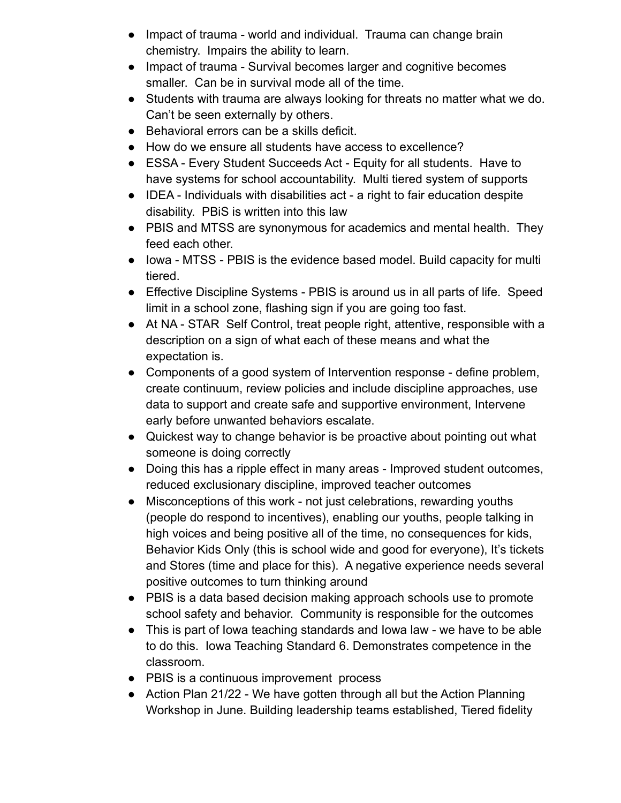- Impact of trauma world and individual. Trauma can change brain chemistry. Impairs the ability to learn.
- Impact of trauma Survival becomes larger and cognitive becomes smaller. Can be in survival mode all of the time.
- Students with trauma are always looking for threats no matter what we do. Can't be seen externally by others.
- Behavioral errors can be a skills deficit.
- How do we ensure all students have access to excellence?
- ESSA Every Student Succeeds Act Equity for all students. Have to have systems for school accountability. Multi tiered system of supports
- IDEA Individuals with disabilities act a right to fair education despite disability. PBiS is written into this law
- PBIS and MTSS are synonymous for academics and mental health. They feed each other.
- Iowa MTSS PBIS is the evidence based model. Build capacity for multi tiered.
- Effective Discipline Systems PBIS is around us in all parts of life. Speed limit in a school zone, flashing sign if you are going too fast.
- At NA STAR Self Control, treat people right, attentive, responsible with a description on a sign of what each of these means and what the expectation is.
- Components of a good system of Intervention response define problem, create continuum, review policies and include discipline approaches, use data to support and create safe and supportive environment, Intervene early before unwanted behaviors escalate.
- Quickest way to change behavior is be proactive about pointing out what someone is doing correctly
- Doing this has a ripple effect in many areas Improved student outcomes, reduced exclusionary discipline, improved teacher outcomes
- Misconceptions of this work not just celebrations, rewarding youths (people do respond to incentives), enabling our youths, people talking in high voices and being positive all of the time, no consequences for kids, Behavior Kids Only (this is school wide and good for everyone), It's tickets and Stores (time and place for this). A negative experience needs several positive outcomes to turn thinking around
- PBIS is a data based decision making approach schools use to promote school safety and behavior. Community is responsible for the outcomes
- This is part of lowa teaching standards and lowa law we have to be able to do this. Iowa Teaching Standard 6. Demonstrates competence in the classroom.
- PBIS is a continuous improvement process
- Action Plan 21/22 We have gotten through all but the Action Planning Workshop in June. Building leadership teams established, Tiered fidelity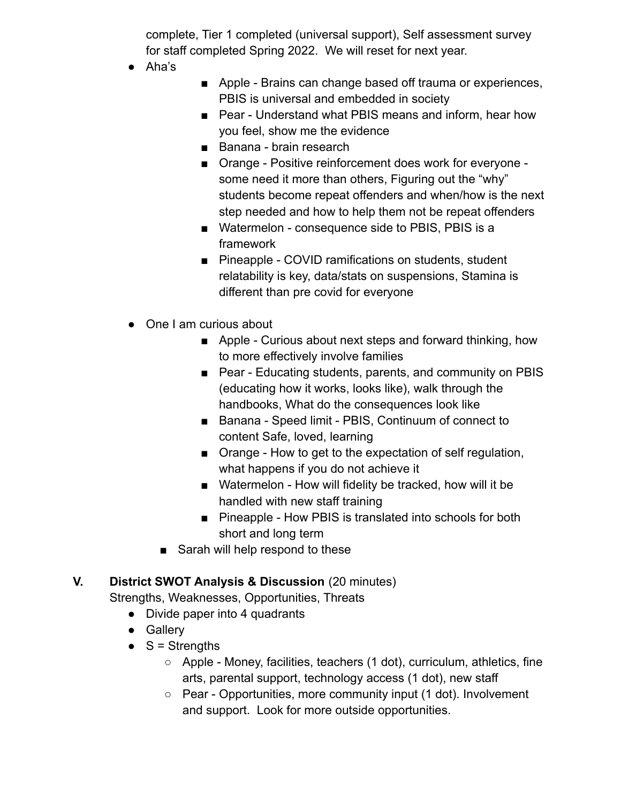complete, Tier 1 completed (universal support), Self assessment survey for staff completed Spring 2022. We will reset for next year.

- Aha's
- Apple Brains can change based off trauma or experiences, PBIS is universal and embedded in society
- Pear Understand what PBIS means and inform, hear how you feel, show me the evidence
- Banana brain research
- Orange Positive reinforcement does work for everyone some need it more than others, Figuring out the "why" students become repeat offenders and when/how is the next step needed and how to help them not be repeat offenders
- Watermelon consequence side to PBIS, PBIS is a framework
- Pineapple COVID ramifications on students, student relatability is key, data/stats on suspensions, Stamina is different than pre covid for everyone
- One I am curious about
	- Apple Curious about next steps and forward thinking, how to more effectively involve families
	- Pear Educating students, parents, and community on PBIS (educating how it works, looks like), walk through the handbooks, What do the consequences look like
	- Banana Speed limit PBIS, Continuum of connect to content Safe, loved, learning
	- Orange How to get to the expectation of self regulation, what happens if you do not achieve it
	- Watermelon How will fidelity be tracked, how will it be handled with new staff training
	- Pineapple How PBIS is translated into schools for both short and long term
	- Sarah will help respond to these

### **V. District SWOT Analysis & Discussion** (20 minutes)

Strengths, Weaknesses, Opportunities, Threats

- Divide paper into 4 quadrants
- Gallery
- $\bullet$  S = Strengths
	- $\circ$  Apple Money, facilities, teachers (1 dot), curriculum, athletics, fine arts, parental support, technology access (1 dot), new staff
	- Pear Opportunities, more community input (1 dot). Involvement and support. Look for more outside opportunities.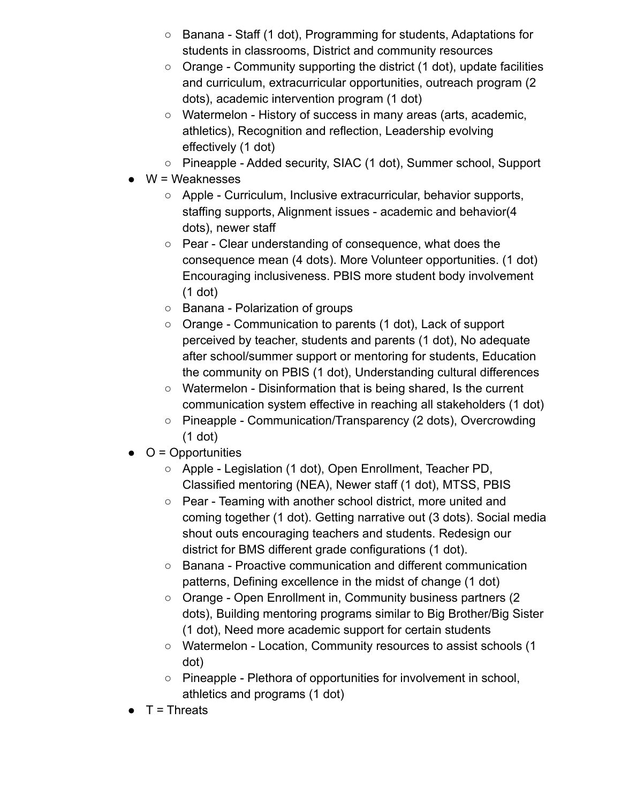- Banana Staff (1 dot), Programming for students, Adaptations for students in classrooms, District and community resources
- Orange Community supporting the district (1 dot), update facilities and curriculum, extracurricular opportunities, outreach program (2 dots), academic intervention program (1 dot)
- Watermelon History of success in many areas (arts, academic, athletics), Recognition and reflection, Leadership evolving effectively (1 dot)
- Pineapple Added security, SIAC (1 dot), Summer school, Support
- $W =$  Weaknesses
	- Apple Curriculum, Inclusive extracurricular, behavior supports, staffing supports, Alignment issues - academic and behavior(4 dots), newer staff
	- Pear Clear understanding of consequence, what does the consequence mean (4 dots). More Volunteer opportunities. (1 dot) Encouraging inclusiveness. PBIS more student body involvement (1 dot)
	- Banana Polarization of groups
	- Orange Communication to parents (1 dot), Lack of support perceived by teacher, students and parents (1 dot), No adequate after school/summer support or mentoring for students, Education the community on PBIS (1 dot), Understanding cultural differences
	- Watermelon Disinformation that is being shared, Is the current communication system effective in reaching all stakeholders (1 dot)
	- Pineapple Communication/Transparency (2 dots), Overcrowding (1 dot)
- $\bullet$   $\circ$   $\circ$  = Opportunities
	- Apple Legislation (1 dot), Open Enrollment, Teacher PD, Classified mentoring (NEA), Newer staff (1 dot), MTSS, PBIS
	- Pear Teaming with another school district, more united and coming together (1 dot). Getting narrative out (3 dots). Social media shout outs encouraging teachers and students. Redesign our district for BMS different grade configurations (1 dot).
	- Banana Proactive communication and different communication patterns, Defining excellence in the midst of change (1 dot)
	- Orange Open Enrollment in, Community business partners (2 dots), Building mentoring programs similar to Big Brother/Big Sister (1 dot), Need more academic support for certain students
	- Watermelon Location, Community resources to assist schools (1 dot)
	- Pineapple Plethora of opportunities for involvement in school, athletics and programs (1 dot)
- T = Threats